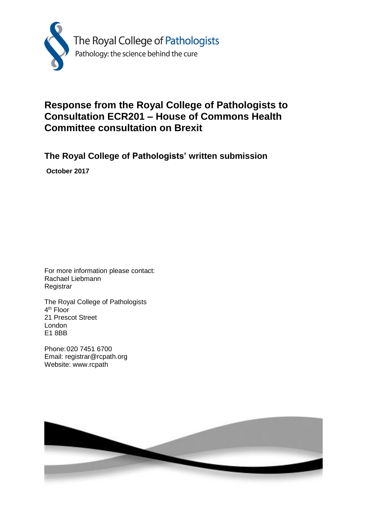

# **Response from the Royal College of Pathologists to Consultation ECR201 – House of Commons Health Committee consultation on Brexit**

**The Royal College of Pathologists' written submission**

**October 2017**

For more information please contact: Rachael Liebmann **Registrar** 

The Royal College of Pathologists 4<sup>th</sup> Floor 21 Prescot Street London E1 8BB

Phone:020 7451 6700 Email: registrar@rcpath.org Website: www.rcpath

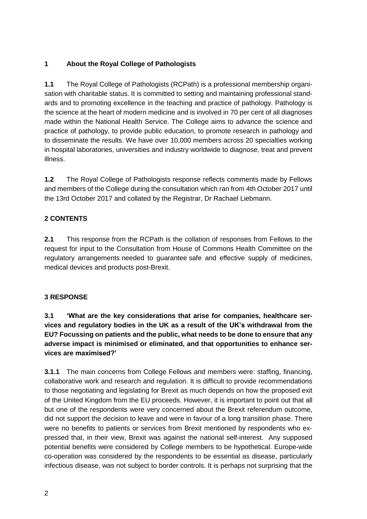## **1 About the Royal College of Pathologists**

**1.1** The Royal College of Pathologists (RCPath) is a professional membership organisation with charitable status. It is committed to setting and maintaining professional standards and to promoting excellence in the teaching and practice of pathology. Pathology is the science at the heart of modern medicine and is involved in 70 per cent of all diagnoses made within the National Health Service. The College aims to advance the science and practice of pathology, to provide public education, to promote research in pathology and to disseminate the results. We have over 10,000 members across 20 specialties working in hospital laboratories, universities and industry worldwide to diagnose, treat and prevent illness.

**1.2** The Royal College of Pathologists response reflects comments made by Fellows and members of the College during the consultation which ran from 4th October 2017 until the 13rd October 2017 and collated by the Registrar, Dr Rachael Liebmann.

## **2 CONTENTS**

**2.1** This response from the RCPath is the collation of responses from Fellows to the request for input to the Consultation from House of Commons Health Committee on the regulatory arrangements needed to guarantee safe and effective supply of medicines, medical devices and products post-Brexit.

#### **3 RESPONSE**

**3.1 'What are the key considerations that arise for companies, healthcare services and regulatory bodies in the UK as a result of the UK's withdrawal from the EU? Focussing on patients and the public, what needs to be done to ensure that any adverse impact is minimised or eliminated, and that opportunities to enhance services are maximised?'** 

**3.1.1** The main concerns from College Fellows and members were: staffing, financing, collaborative work and research and regulation. It is difficult to provide recommendations to those negotiating and legislating for Brexit as much depends on how the proposed exit of the United Kingdom from the EU proceeds. However, it is important to point out that all but one of the respondents were very concerned about the Brexit referendum outcome, did not support the decision to leave and were in favour of a long transition phase. There were no benefits to patients or services from Brexit mentioned by respondents who expressed that, in their view, Brexit was against the national self-interest. Any supposed potential benefits were considered by College members to be hypothetical. Europe-wide co-operation was considered by the respondents to be essential as disease, particularly infectious disease, was not subject to border controls. It is perhaps not surprising that the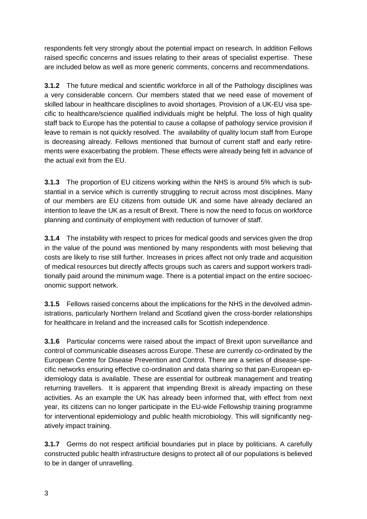respondents felt very strongly about the potential impact on research. In addition Fellows raised specific concerns and issues relating to their areas of specialist expertise. These are included below as well as more generic comments, concerns and recommendations.

**3.1.2** The future medical and scientific workforce in all of the Pathology disciplines was a very considerable concern. Our members stated that we need ease of movement of skilled labour in healthcare disciplines to avoid shortages. Provision of a UK-EU visa specific to healthcare/science qualified individuals might be helpful. The loss of high quality staff back to Europe has the potential to cause a collapse of pathology service provision if leave to remain is not quickly resolved. The availability of quality locum staff from Europe is decreasing already. Fellows mentioned that burnout of current staff and early retirements were exacerbating the problem. These effects were already being felt in advance of the actual exit from the EU.

**3.1.3** The proportion of EU citizens working within the NHS is around 5% which is substantial in a service which is currently struggling to recruit across most disciplines. Many of our members are EU citizens from outside UK and some have already declared an intention to leave the UK as a result of Brexit. There is now the need to focus on workforce planning and continuity of employment with reduction of turnover of staff.

**3.1.4** The instability with respect to prices for medical goods and services given the drop in the value of the pound was mentioned by many respondents with most believing that costs are likely to rise still further. Increases in prices affect not only trade and acquisition of medical resources but directly affects groups such as carers and support workers traditionally paid around the minimum wage. There is a potential impact on the entire socioeconomic support network.

**3.1.5** Fellows raised concerns about the implications for the NHS in the devolved administrations, particularly Northern Ireland and Scotland given the cross-border relationships for healthcare in Ireland and the increased calls for Scottish independence.

**3.1.6** Particular concerns were raised about the impact of Brexit upon surveillance and control of communicable diseases across Europe. These are currently co-ordinated by the European Centre for Disease Prevention and Control. There are a series of disease-specific networks ensuring effective co-ordination and data sharing so that pan-European epidemiology data is available. These are essential for outbreak management and treating returning travellers. It is apparent that impending Brexit is already impacting on these activities. As an example the UK has already been informed that, with effect from next year, its citizens can no longer participate in the EU-wide Fellowship training programme for interventional epidemiology and public health microbiology. This will significantly negatively impact training.

**3.1.7** Germs do not respect artificial boundaries put in place by politicians. A carefully constructed public health infrastructure designs to protect all of our populations is believed to be in danger of unravelling.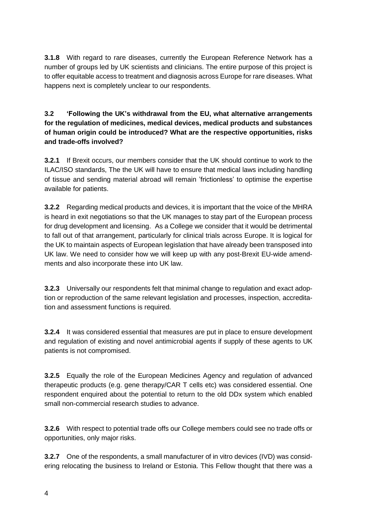**3.1.8** With regard to rare diseases, currently the European Reference Network has a number of groups led by UK scientists and clinicians. The entire purpose of this project is to offer equitable access to treatment and diagnosis across Europe for rare diseases. What happens next is completely unclear to our respondents.

### **3.2 'Following the UK's withdrawal from the EU, what alternative arrangements for the regulation of medicines, medical devices, medical products and substances of human origin could be introduced? What are the respective opportunities, risks and trade-offs involved?**

**3.2.1** If Brexit occurs, our members consider that the UK should continue to work to the ILAC/ISO standards, The the UK will have to ensure that medical laws including handling of tissue and sending material abroad will remain 'frictionless' to optimise the expertise available for patients.

**3.2.2** Regarding medical products and devices, it is important that the voice of the MHRA is heard in exit negotiations so that the UK manages to stay part of the European process for drug development and licensing. As a College we consider that it would be detrimental to fall out of that arrangement, particularly for clinical trials across Europe. It is logical for the UK to maintain aspects of European legislation that have already been transposed into UK law. We need to consider how we will keep up with any post-Brexit EU-wide amendments and also incorporate these into UK law.

**3.2.3** Universally our respondents felt that minimal change to regulation and exact adoption or reproduction of the same relevant legislation and processes, inspection, accreditation and assessment functions is required.

**3.2.4** It was considered essential that measures are put in place to ensure development and regulation of existing and novel antimicrobial agents if supply of these agents to UK patients is not compromised.

**3.2.5** Equally the role of the European Medicines Agency and regulation of advanced therapeutic products (e.g. gene therapy/CAR T cells etc) was considered essential. One respondent enquired about the potential to return to the old DDx system which enabled small non-commercial research studies to advance.

**3.2.6** With respect to potential trade offs our College members could see no trade offs or opportunities, only major risks.

**3.2.7** One of the respondents, a small manufacturer of in vitro devices (IVD) was considering relocating the business to Ireland or Estonia. This Fellow thought that there was a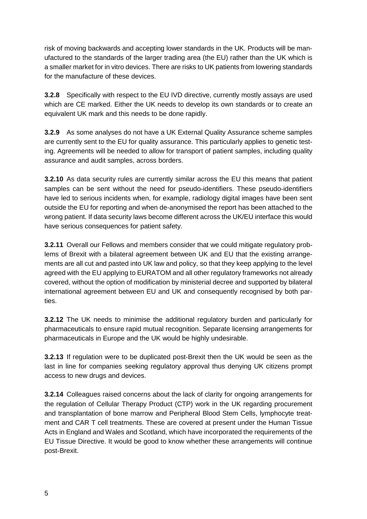risk of moving backwards and accepting lower standards in the UK. Products will be manufactured to the standards of the larger trading area (the EU) rather than the UK which is a smaller market for in vitro devices. There are risks to UK patients from lowering standards for the manufacture of these devices.

**3.2.8** Specifically with respect to the EU IVD directive, currently mostly assays are used which are CE marked. Either the UK needs to develop its own standards or to create an equivalent UK mark and this needs to be done rapidly.

**3.2.9** As some analyses do not have a UK External Quality Assurance scheme samples are currently sent to the EU for quality assurance. This particularly applies to genetic testing. Agreements will be needed to allow for transport of patient samples, including quality assurance and audit samples, across borders.

**3.2.10** As data security rules are currently similar across the EU this means that patient samples can be sent without the need for pseudo-identifiers. These pseudo-identifiers have led to serious incidents when, for example, radiology digital images have been sent outside the EU for reporting and when de-anonymised the report has been attached to the wrong patient. If data security laws become different across the UK/EU interface this would have serious consequences for patient safety.

**3.2.11** Overall our Fellows and members consider that we could mitigate regulatory problems of Brexit with a bilateral agreement between UK and EU that the existing arrangements are all cut and pasted into UK law and policy, so that they keep applying to the level agreed with the EU applying to EURATOM and all other regulatory frameworks not already covered, without the option of modification by ministerial decree and supported by bilateral international agreement between EU and UK and consequently recognised by both parties.

**3.2.12** The UK needs to minimise the additional regulatory burden and particularly for pharmaceuticals to ensure rapid mutual recognition. Separate licensing arrangements for pharmaceuticals in Europe and the UK would be highly undesirable.

**3.2.13** If regulation were to be duplicated post-Brexit then the UK would be seen as the last in line for companies seeking regulatory approval thus denying UK citizens prompt access to new drugs and devices.

**3.2.14** Colleagues raised concerns about the lack of clarity for ongoing arrangements for the regulation of Cellular Therapy Product (CTP) work in the UK regarding procurement and transplantation of bone marrow and Peripheral Blood Stem Cells, lymphocyte treatment and CAR T cell treatments. These are covered at present under the Human Tissue Acts in England and Wales and Scotland, which have incorporated the requirements of the EU Tissue Directive. It would be good to know whether these arrangements will continue post-Brexit.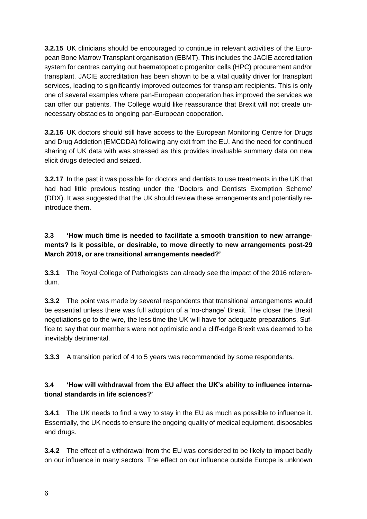**3.2.15** UK clinicians should be encouraged to continue in relevant activities of the European Bone Marrow Transplant organisation (EBMT). This includes the JACIE accreditation system for centres carrying out haematopoetic progenitor cells (HPC) procurement and/or transplant. JACIE accreditation has been shown to be a vital quality driver for transplant services, leading to significantly improved outcomes for transplant recipients. This is only one of several examples where pan-European cooperation has improved the services we can offer our patients. The College would like reassurance that Brexit will not create unnecessary obstacles to ongoing pan-European cooperation.

**3.2.16** UK doctors should still have access to the European Monitoring Centre for Drugs and Drug Addiction (EMCDDA) following any exit from the EU. And the need for continued sharing of UK data with was stressed as this provides invaluable summary data on new elicit drugs detected and seized.

**3.2.17** In the past it was possible for doctors and dentists to use treatments in the UK that had had little previous testing under the 'Doctors and Dentists Exemption Scheme' (DDX). It was suggested that the UK should review these arrangements and potentially reintroduce them.

#### **3.3 'How much time is needed to facilitate a smooth transition to new arrangements? Is it possible, or desirable, to move directly to new arrangements post-29 March 2019, or are transitional arrangements needed?'**

**3.3.1** The Royal College of Pathologists can already see the impact of the 2016 referendum.

**3.3.2** The point was made by several respondents that transitional arrangements would be essential unless there was full adoption of a 'no-change' Brexit. The closer the Brexit negotiations go to the wire, the less time the UK will have for adequate preparations. Suffice to say that our members were not optimistic and a cliff-edge Brexit was deemed to be inevitably detrimental.

**3.3.3** A transition period of 4 to 5 years was recommended by some respondents.

## **3.4 'How will withdrawal from the EU affect the UK's ability to influence international standards in life sciences?'**

**3.4.1** The UK needs to find a way to stay in the EU as much as possible to influence it. Essentially, the UK needs to ensure the ongoing quality of medical equipment, disposables and drugs.

**3.4.2** The effect of a withdrawal from the EU was considered to be likely to impact badly on our influence in many sectors. The effect on our influence outside Europe is unknown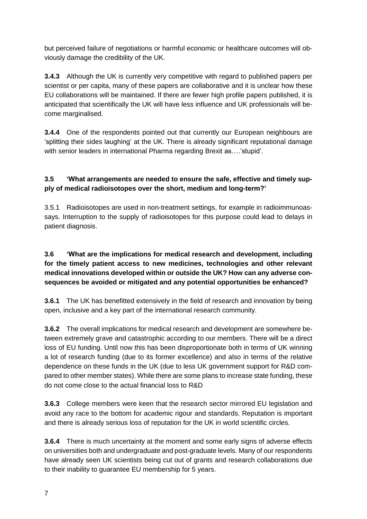but perceived failure of negotiations or harmful economic or healthcare outcomes will obviously damage the credibility of the UK.

**3.4.3** Although the UK is currently very competitive with regard to published papers per scientist or per capita, many of these papers are collaborative and it is unclear how these EU collaborations will be maintained. If there are fewer high profile papers published, it is anticipated that scientifically the UK will have less influence and UK professionals will become marginalised.

**3.4.4** One of the respondents pointed out that currently our European neighbours are 'splitting their sides laughing' at the UK. There is already significant reputational damage with senior leaders in international Pharma regarding Brexit as….'stupid'.

## **3.5 'What arrangements are needed to ensure the safe, effective and timely supply of medical radioisotopes over the short, medium and long-term?'**

3.5.1 Radioisotopes are used in non-treatment settings, for example in radioimmunoassays. Interruption to the supply of radioisotopes for this purpose could lead to delays in patient diagnosis.

#### **3.6 'What are the implications for medical research and development, including for the timely patient access to new medicines, technologies and other relevant medical innovations developed within or outside the UK? How can any adverse consequences be avoided or mitigated and any potential opportunities be enhanced?**

**3.6.1** The UK has benefitted extensively in the field of research and innovation by being open, inclusive and a key part of the international research community.

**3.6.2** The overall implications for medical research and development are somewhere between extremely grave and catastrophic according to our members. There will be a direct loss of EU funding. Until now this has been disproportionate both in terms of UK winning a lot of research funding (due to its former excellence) and also in terms of the relative dependence on these funds in the UK (due to less UK government support for R&D compared to other member states). While there are some plans to increase state funding, these do not come close to the actual financial loss to R&D

**3.6.3** College members were keen that the research sector mirrored EU legislation and avoid any race to the bottom for academic rigour and standards. Reputation is important and there is already serious loss of reputation for the UK in world scientific circles.

**3.6.4** There is much uncertainty at the moment and some early signs of adverse effects on universities both and undergraduate and post-graduate levels. Many of our respondents have already seen UK scientists being cut out of grants and research collaborations due to their inability to guarantee EU membership for 5 years.